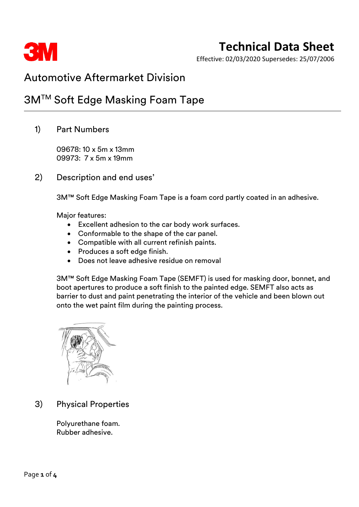

Effective: 02/03/2020 Supersedes: 25/07/2006

## Automotive Aftermarket Division

## 3M™ Soft Edge Masking Foam Tape

1) Part Numbers

09678: 10 x 5m x 13mm 09973: 7 x 5m x 19mm

2) Description and end uses'

3M™ Soft Edge Masking Foam Tape is a foam cord partly coated in an adhesive.

Major features:

- Excellent adhesion to the car body work surfaces.
- Conformable to the shape of the car panel.
- Compatible with all current refinish paints.
- Produces a soft edge finish.
- Does not leave adhesive residue on removal

3M™ Soft Edge Masking Foam Tape (SEMFT) is used for masking door, bonnet, and boot apertures to produce a soft finish to the painted edge. SEMFT also acts as barrier to dust and paint penetrating the interior of the vehicle and been blown out onto the wet paint film during the painting process.



3) Physical Properties

Polyurethane foam. Rubber adhesive.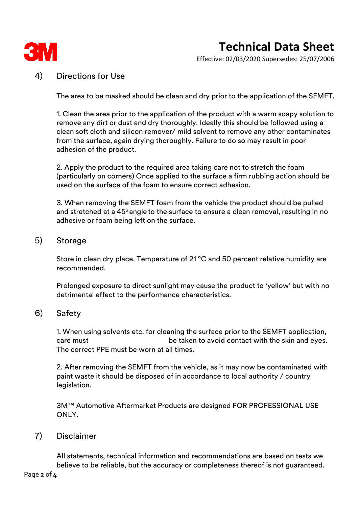

Effective: 02/03/2020 Supersedes: 25/07/2006

### 4) Directions for Use

The area to be masked should be clean and dry prior to the application of the SEMFT.

1. Clean the area prior to the application of the product with a warm soapy solution to remove any dirt or dust and dry thoroughly. Ideally this should be followed using a clean soft cloth and silicon remover/ mild solvent to remove any other contaminates from the surface, again drying thoroughly. Failure to do so may result in poor adhesion of the product.

2. Apply the product to the required area taking care not to stretch the foam (particularly on corners) Once applied to the surface a firm rubbing action should be used on the surface of the foam to ensure correct adhesion.

3. When removing the SEMFT foam from the vehicle the product should be pulled and stretched at a 45° angle to the surface to ensure a clean removal, resulting in no adhesive or foam being left on the surface.

#### 5) Storage

Store in clean dry place. Temperature of 21 °C and 50 percent relative humidity are recommended.

Prolonged exposure to direct sunlight may cause the product to 'yellow' but with no detrimental effect to the performance characteristics.

### 6) Safety

1. When using solvents etc. for cleaning the surface prior to the SEMFT application, care must be taken to avoid contact with the skin and eyes. The correct PPE must be worn at all times.

2. After removing the SEMFT from the vehicle, as it may now be contaminated with paint waste it should be disposed of in accordance to local authority / country legislation.

3M™ Automotive Aftermarket Products are designed FOR PROFESSIONAL USE ONLY.

### 7) Disclaimer

All statements, technical information and recommendations are based on tests we believe to be reliable, but the accuracy or completeness thereof is not guaranteed.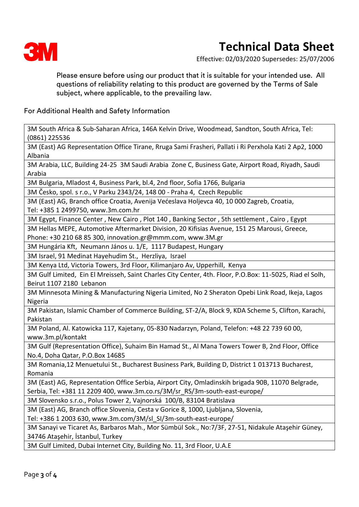

Effective: 02/03/2020 Supersedes: 25/07/2006

Please ensure before using our product that it is suitable for your intended use. All questions of reliability relating to this product are governed by the Terms of Sale subject, where applicable, to the prevailing law.

For Additional Health and Safety Information

3M South Africa & Sub-Saharan Africa, 146A Kelvin Drive, Woodmead, Sandton, South Africa, Tel: (0861) 225536

3M (East) AG Representation Office Tirane, Rruga Sami Frasheri, Pallati i Ri Perxhola Kati 2 Ap2, 1000 Albania

3M Arabia, LLC, Building 24-25 3M Saudi Arabia Zone C, Business Gate, Airport Road, Riyadh, Saudi Arabia

3M Bulgaria, Mladost 4, Business Park, bl.4, 2nd floor, Sofia 1766, Bulgaria

3M Česko, spol. s r.o., V Parku 2343/24, 148 00 - Praha 4, Czech Republic

3M (East) AG, Branch office Croatia, Avenija Većeslava Holjevca 40, 10 000 Zagreb, Croatia, Tel: +385 1 2499750, www.3m.com.hr

3M Egypt, Finance Center , New Cairo , Plot 140 , Banking Sector , 5th settlement , Cairo , Egypt

3M Hellas MEPE, Automotive Aftermarket Division, 20 Kifisias Avenue, 151 25 Marousi, Greece,

Phone: +30 210 68 85 300, innovation.gr@mmm.com, www.3M.gr

3M Hungária Kft, Neumann János u. 1/E, 1117 Budapest, Hungary

3M Israel, 91 Medinat Hayehudim St., Herzliya, Israel

3M Kenya Ltd, Victoria Towers, 3rd Floor, Kilimanjaro Av, Upperhill, Kenya

3M Gulf Limited, Ein El Mreisseh, Saint Charles City Center, 4th. Floor, P.O.Box: 11-5025, Riad el Solh, Beirut 1107 2180 Lebanon

3M Minnesota Mining & Manufacturing Nigeria Limited, No 2 Sheraton Opebi Link Road, Ikeja, Lagos Nigeria

3M Pakistan, Islamic Chamber of Commerce Building, ST-2/A, Block 9, KDA Scheme 5, Clifton, Karachi, Pakistan

3M Poland, Al. Katowicka 117, Kajetany, 05-830 Nadarzyn, Poland, Telefon: +48 22 739 60 00, www.3m.pl/kontakt

3M Gulf (Representation Office), Suhaim Bin Hamad St., Al Mana Towers Tower B, 2nd Floor, Office No.4, Doha Qatar, P.O.Box 14685

3M Romania,12 Menuetului St., Bucharest Business Park, Building D, District 1 013713 Bucharest, Romania

3M (East) AG, Representation Office Serbia, Airport City, Omladinskih brigada 90B, 11070 Belgrade, Serbia, Tel: +381 11 2209 400, www.3m.co.rs/3M/sr\_RS/3m-south-east-europe/

3M Slovensko s.r.o., Polus Tower 2, Vajnorská 100/B, 83104 Bratislava

3M (East) AG, Branch office Slovenia, Cesta v Gorice 8, 1000, Ljubljana, Slovenia,

Tel: +386 1 2003 630, www.3m.com/3M/sl\_SI/3m-south-east-europe/

3M Sanayi ve Ticaret As, Barbaros Mah., Mor Sümbül Sok., No:7/3F, 27-51, Nidakule Ataşehir Güney, 34746 Ataşehir, İstanbul, Turkey

3M Gulf Limited, Dubai Internet City, Building No. 11, 3rd Floor, U.A.E